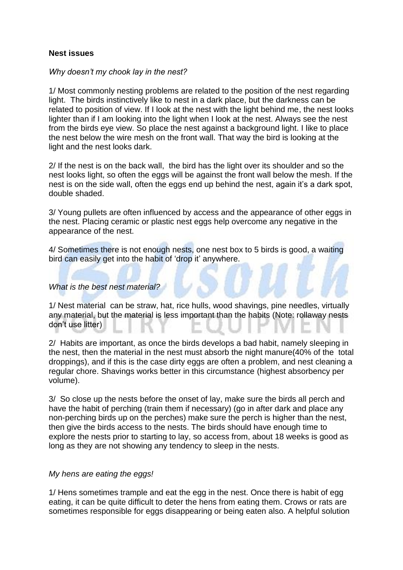## **Nest issues**

## *Why doesn't my chook lay in the nest?*

1/ Most commonly nesting problems are related to the position of the nest regarding light. The birds instinctively like to nest in a dark place, but the darkness can be related to position of view. If I look at the nest with the light behind me, the nest looks lighter than if I am looking into the light when I look at the nest. Always see the nest from the birds eye view. So place the nest against a background light. I like to place the nest below the wire mesh on the front wall. That way the bird is looking at the light and the nest looks dark.

2/ If the nest is on the back wall, the bird has the light over its shoulder and so the nest looks light, so often the eggs will be against the front wall below the mesh. If the nest is on the side wall, often the eggs end up behind the nest, again it's a dark spot, double shaded.

3/ Young pullets are often influenced by access and the appearance of other eggs in the nest. Placing ceramic or plastic nest eggs help overcome any negative in the appearance of the nest.

4/ Sometimes there is not enough nests, one nest box to 5 birds is good, a waiting bird can easily get into the habit of 'drop it' anywhere.

## *What is the best nest material?*

1/ Nest material can be straw, hat, rice hulls, wood shavings, pine needles, virtually any material, but the material is less important than the habits (Note: rollaway nests don't use litter)

2/ Habits are important, as once the birds develops a bad habit, namely sleeping in the nest, then the material in the nest must absorb the night manure(40% of the total droppings), and if this is the case dirty eggs are often a problem, and nest cleaning a regular chore. Shavings works better in this circumstance (highest absorbency per volume).

3/ So close up the nests before the onset of lay, make sure the birds all perch and have the habit of perching (train them if necessary) (go in after dark and place any non-perching birds up on the perches) make sure the perch is higher than the nest, then give the birds access to the nests. The birds should have enough time to explore the nests prior to starting to lay, so access from, about 18 weeks is good as long as they are not showing any tendency to sleep in the nests.

## *My hens are eating the eggs!*

1/ Hens sometimes trample and eat the egg in the nest. Once there is habit of egg eating, it can be quite difficult to deter the hens from eating them. Crows or rats are sometimes responsible for eggs disappearing or being eaten also. A helpful solution